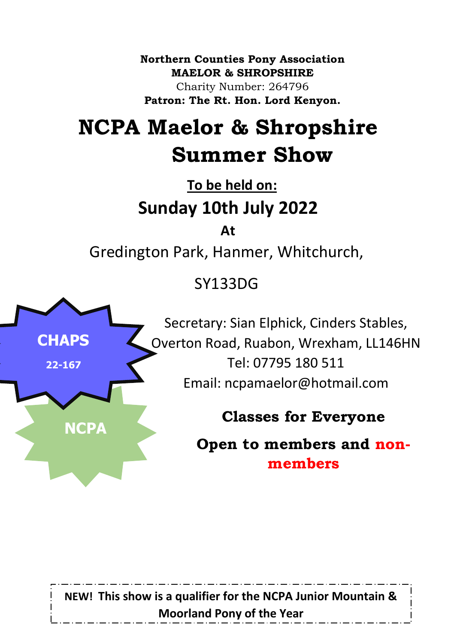**Northern Counties Pony Association MAELOR & SHROPSHIRE** Charity Number: 264796 **Patron: The Rt. Hon. Lord Kenyon.**

# **NCPA Maelor & Shropshire Summer Show**

**To be held on: Sunday 10th July 2022**

**At**

Gredington Park, Hanmer, Whitchurch,

SY133DG



Secretary: Sian Elphick, Cinders Stables, Overton Road, Ruabon, Wrexham, LL146HN Tel: 07795 180 511 Email: ncpamaelor@hotmail.com

**Classes for Everyone**

**Open to members and nonmembers**

**NEW! This show is a qualifier for the NCPA Junior Mountain & Moorland Pony of the Year**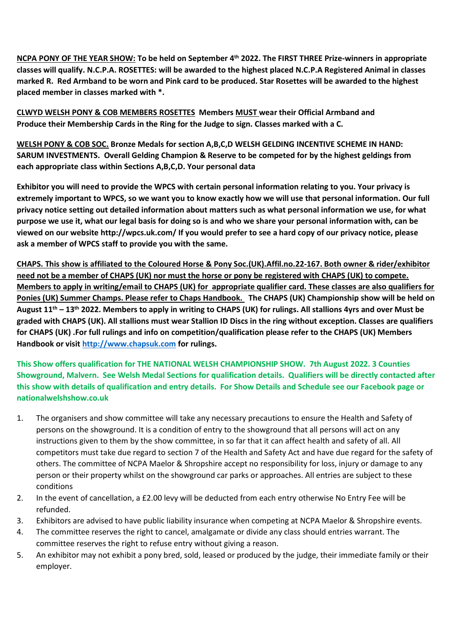**NCPA PONY OF THE YEAR SHOW: To be held on September 4 th 2022. The FIRST THREE Prize-winners in appropriate classes will qualify. N.C.P.A. ROSETTES: will be awarded to the highest placed N.C.P.A Registered Animal in classes marked R. Red Armband to be worn and Pink card to be produced. Star Rosettes will be awarded to the highest placed member in classes marked with \*.**

**CLWYD WELSH PONY & COB MEMBERS ROSETTES Members MUST wear their Official Armband and Produce their Membership Cards in the Ring for the Judge to sign. Classes marked with a C.**

**WELSH PONY & COB SOC. Bronze Medals for section A,B,C,D WELSH GELDING INCENTIVE SCHEME IN HAND: SARUM INVESTMENTS. Overall Gelding Champion & Reserve to be competed for by the highest geldings from each appropriate class within Sections A,B,C,D. Your personal data**

**Exhibitor you will need to provide the WPCS with certain personal information relating to you. Your privacy is extremely important to WPCS, so we want you to know exactly how we will use that personal information. Our full privacy notice setting out detailed information about matters such as what personal information we use, for what purpose we use it, what our legal basis for doing so is and who we share your personal information with, can be viewed on our website http://wpcs.uk.com/ If you would prefer to see a hard copy of our privacy notice, please ask a member of WPCS staff to provide you with the same.**

**CHAPS. This show is affiliated to the Coloured Horse & Pony Soc.(UK).Affil.no.22-167. Both owner & rider/exhibitor need not be a member of CHAPS (UK) nor must the horse or pony be registered with CHAPS (UK) to compete. Members to apply in writing/email to CHAPS (UK) for appropriate qualifier card. These classes are also qualifiers for Ponies (UK) Summer Champs. Please refer to Chaps Handbook. The CHAPS (UK) Championship show will be held on August 11 th – 13th 2022. Members to apply in writing to CHAPS (UK) for rulings. All stallions 4yrs and over Must be graded with CHAPS (UK). All stallions must wear Stallion ID Discs in the ring without exception. Classes are qualifiers for CHAPS (UK) .For full rulings and info on competition/qualification please refer to the CHAPS (UK) Members Handbook or visi[t http://www.chapsuk.com](http://www.chapsuk.com/) for rulings.**

**This Show offers qualification for THE NATIONAL WELSH CHAMPIONSHIP SHOW. 7th August 2022. 3 Counties Showground, Malvern. See Welsh Medal Sections for qualification details. Qualifiers will be directly contacted after this show with details of qualification and entry details. For Show Details and Schedule see our Facebook page or nationalwelshshow.co.uk**

- 1. The organisers and show committee will take any necessary precautions to ensure the Health and Safety of persons on the showground. It is a condition of entry to the showground that all persons will act on any instructions given to them by the show committee, in so far that it can affect health and safety of all. All competitors must take due regard to section 7 of the Health and Safety Act and have due regard for the safety of others. The committee of NCPA Maelor & Shropshire accept no responsibility for loss, injury or damage to any person or their property whilst on the showground car parks or approaches. All entries are subject to these conditions
- 2. In the event of cancellation, a £2.00 levy will be deducted from each entry otherwise No Entry Fee will be refunded.
- 3. Exhibitors are advised to have public liability insurance when competing at NCPA Maelor & Shropshire events.
- 4. The committee reserves the right to cancel, amalgamate or divide any class should entries warrant. The committee reserves the right to refuse entry without giving a reason.
- 5. An exhibitor may not exhibit a pony bred, sold, leased or produced by the judge, their immediate family or their employer.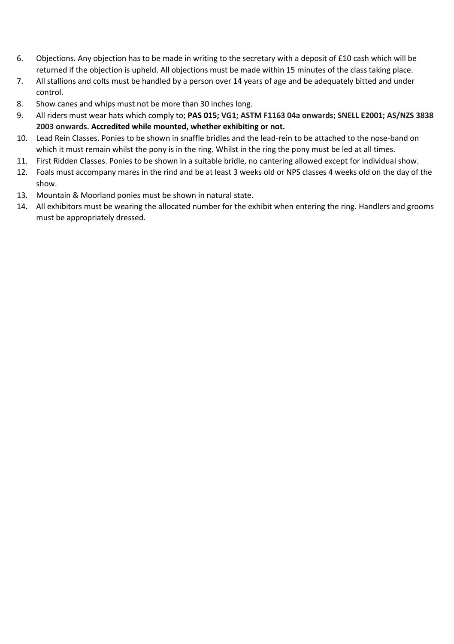- 6. Objections. Any objection has to be made in writing to the secretary with a deposit of £10 cash which will be returned if the objection is upheld. All objections must be made within 15 minutes of the class taking place.
- 7. All stallions and colts must be handled by a person over 14 years of age and be adequately bitted and under control.
- 8. Show canes and whips must not be more than 30 inches long.
- 9. All riders must wear hats which comply to; **PAS 015; VG1; ASTM F1163 04a onwards; SNELL E2001; AS/NZS 3838 2003 onwards. Accredited while mounted, whether exhibiting or not.**
- 10. Lead Rein Classes. Ponies to be shown in snaffle bridles and the lead-rein to be attached to the nose-band on which it must remain whilst the pony is in the ring. Whilst in the ring the pony must be led at all times.
- 11. First Ridden Classes. Ponies to be shown in a suitable bridle, no cantering allowed except for individual show.
- 12. Foals must accompany mares in the rind and be at least 3 weeks old or NPS classes 4 weeks old on the day of the show.
- 13. Mountain & Moorland ponies must be shown in natural state.
- 14. All exhibitors must be wearing the allocated number for the exhibit when entering the ring. Handlers and grooms must be appropriately dressed.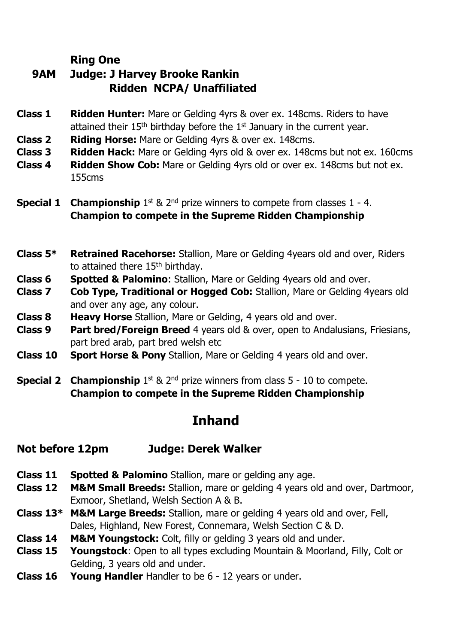#### **Ring One**

# **9AM Judge: J Harvey Brooke Rankin Ridden NCPA/ Unaffiliated**

- **Class 1 Ridden Hunter:** Mare or Gelding 4yrs & over ex. 148cms. Riders to have attained their 15<sup>th</sup> birthday before the 1<sup>st</sup> January in the current year.
- **Class 2 Riding Horse:** Mare or Gelding 4yrs & over ex. 148cms.
- **Class 3 Ridden Hack:** Mare or Gelding 4yrs old & over ex. 148cms but not ex. 160cms
- **Class 4 Ridden Show Cob:** Mare or Gelding 4yrs old or over ex. 148cms but not ex. 155cms
- **Special 1 Championship** 1<sup>st</sup> & 2<sup>nd</sup> prize winners to compete from classes 1 4. **Champion to compete in the Supreme Ridden Championship**
- **Class 5\* Retrained Racehorse:** Stallion, Mare or Gelding 4years old and over, Riders to attained there 15<sup>th</sup> birthday.
- **Class 6 Spotted & Palomino**: Stallion, Mare or Gelding 4years old and over.
- **Class 7 Cob Type, Traditional or Hogged Cob:** Stallion, Mare or Gelding 4years old and over any age, any colour.
- **Class 8 Heavy Horse** Stallion, Mare or Gelding, 4 years old and over.
- **Class 9 Part bred/Foreign Breed** 4 years old & over, open to Andalusians, Friesians, part bred arab, part bred welsh etc
- **Class 10 Sport Horse & Pony** Stallion, Mare or Gelding 4 years old and over.
- **Special 2 Championship** 1<sup>st</sup> & 2<sup>nd</sup> prize winners from class 5 10 to compete. **Champion to compete in the Supreme Ridden Championship**

# **Inhand**

#### **Not before 12pm Judge: Derek Walker**

- **Class 11 Spotted & Palomino** Stallion, mare or gelding any age.
- **Class 12 M&M Small Breeds:** Stallion, mare or gelding 4 years old and over, Dartmoor, Exmoor, Shetland, Welsh Section A & B.
- **Class 13\* M&M Large Breeds:** Stallion, mare or gelding 4 years old and over, Fell, Dales, Highland, New Forest, Connemara, Welsh Section C & D.
- **Class 14 M&M Youngstock:** Colt, filly or gelding 3 years old and under.
- **Class 15 Youngstock**: Open to all types excluding Mountain & Moorland, Filly, Colt or Gelding, 3 years old and under.
- **Class 16 Young Handler** Handler to be 6 12 years or under.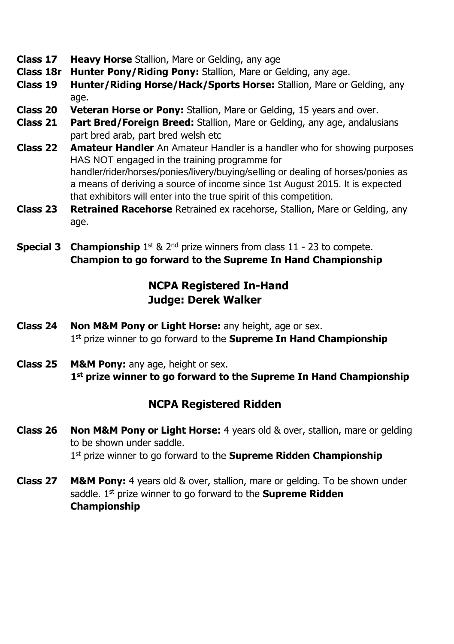- **Class 17 Heavy Horse** Stallion, Mare or Gelding, any age
- **Class 18r Hunter Pony/Riding Pony:** Stallion, Mare or Gelding, any age.
- **Class 19 Hunter/Riding Horse/Hack/Sports Horse:** Stallion, Mare or Gelding, any age.
- **Class 20 Veteran Horse or Pony:** Stallion, Mare or Gelding, 15 years and over.
- **Class 21 Part Bred/Foreign Breed:** Stallion, Mare or Gelding, any age, andalusians part bred arab, part bred welsh etc
- **Class 22 Amateur Handler** An Amateur Handler is a handler who for showing purposes HAS NOT engaged in the training programme for handler/rider/horses/ponies/livery/buying/selling or dealing of horses/ponies as a means of deriving a source of income since 1st August 2015. It is expected that exhibitors will enter into the true spirit of this competition.
- **Class 23 Retrained Racehorse** Retrained ex racehorse, Stallion, Mare or Gelding, any age.
- **Special 3 Championship** 1<sup>st</sup> & 2<sup>nd</sup> prize winners from class 11 23 to compete. **Champion to go forward to the Supreme In Hand Championship**

## **NCPA Registered In-Hand Judge: Derek Walker**

- **Class 24 Non M&M Pony or Light Horse:** any height, age or sex. 1 st prize winner to go forward to the **Supreme In Hand Championship**
- **Class 25 M&M Pony:** any age, height or sex. **1 st prize winner to go forward to the Supreme In Hand Championship**

## **NCPA Registered Ridden**

- **Class 26 Non M&M Pony or Light Horse:** 4 years old & over, stallion, mare or gelding to be shown under saddle. 1 st prize winner to go forward to the **Supreme Ridden Championship**
- **Class 27 M&M Pony:** 4 years old & over, stallion, mare or gelding. To be shown under saddle. 1 st prize winner to go forward to the **Supreme Ridden Championship**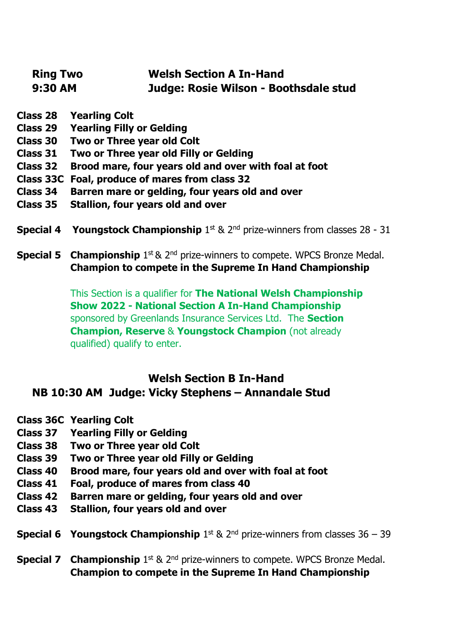| <b>Ring Two</b> | <b>Welsh Section A In-Hand</b>        |
|-----------------|---------------------------------------|
| 9:30 AM         | Judge: Rosie Wilson - Boothsdale stud |

- **Class 28 Yearling Colt**
- **Class 29 Yearling Filly or Gelding**
- **Class 30 Two or Three year old Colt**
- **Class 31 Two or Three year old Filly or Gelding**
- **Class 32 Brood mare, four years old and over with foal at foot**
- **Class 33C Foal, produce of mares from class 32**
- **Class 34 Barren mare or gelding, four years old and over**
- **Class 35 Stallion, four years old and over**
- **Special 4 Youngstock Championship** 1st & 2<sup>nd</sup> prize-winners from classes 28 31
- **Special 5 Championship** 1<sup>st</sup> & 2<sup>nd</sup> prize-winners to compete. WPCS Bronze Medal. **Champion to compete in the Supreme In Hand Championship**

This Section is a qualifier for **The National Welsh Championship Show 2022 - National Section A In-Hand Championship** sponsored by Greenlands Insurance Services Ltd. The **Section Champion, Reserve** & **Youngstock Champion** (not already qualified) qualify to enter.

#### **Welsh Section B In-Hand NB 10:30 AM Judge: Vicky Stephens – Annandale Stud**

- **Class 36C Yearling Colt**
- **Class 37 Yearling Filly or Gelding**
- **Class 38 Two or Three year old Colt**
- **Class 39 Two or Three year old Filly or Gelding**
- **Class 40 Brood mare, four years old and over with foal at foot**
- **Class 41 Foal, produce of mares from class 40**
- **Class 42 Barren mare or gelding, four years old and over**
- **Class 43 Stallion, four years old and over**

**Special 6 Youngstock Championship** 1st & 2<sup>nd</sup> prize-winners from classes 36 – 39

**Special 7 Championship** 1<sup>st</sup> & 2<sup>nd</sup> prize-winners to compete. WPCS Bronze Medal. **Champion to compete in the Supreme In Hand Championship**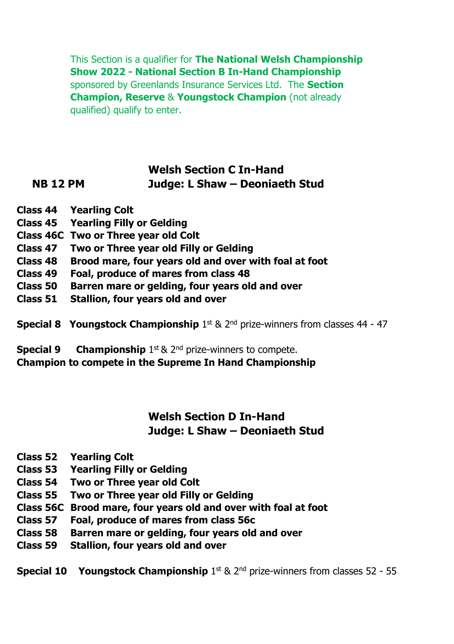This Section is a qualifier for **The National Welsh Championship Show 2022 - National Section B In-Hand Championship** sponsored by Greenlands Insurance Services Ltd. The **Section Champion, Reserve** & **Youngstock Champion** (not already qualified) qualify to enter.

#### **Welsh Section C In-Hand NB 12 PM Judge: L Shaw – Deoniaeth Stud**

- **Class 44 Yearling Colt**
- **Class 45 Yearling Filly or Gelding**
- **Class 46C Two or Three year old Colt**
- **Class 47 Two or Three year old Filly or Gelding**
- **Class 48 Brood mare, four years old and over with foal at foot**
- **Class 49 Foal, produce of mares from class 48**
- **Class 50 Barren mare or gelding, four years old and over**
- **Class 51 Stallion, four years old and over**
- **Special 8 Youngstock Championship** 1st & 2<sup>nd</sup> prize-winners from classes 44 47

**Special 9 Championship** 1<sup>st</sup> & 2<sup>nd</sup> prize-winners to compete. **Champion to compete in the Supreme In Hand Championship**

## **Welsh Section D In-Hand Judge: L Shaw – Deoniaeth Stud**

- **Class 52 Yearling Colt**
- **Class 53 Yearling Filly or Gelding**
- **Class 54 Two or Three year old Colt**
- **Class 55 Two or Three year old Filly or Gelding**
- **Class 56C Brood mare, four years old and over with foal at foot**
- **Class 57 Foal, produce of mares from class 56c**
- **Class 58 Barren mare or gelding, four years old and over**
- **Class 59 Stallion, four years old and over**

**Special 10 Youngstock Championship** 1st & 2<sup>nd</sup> prize-winners from classes 52 - 55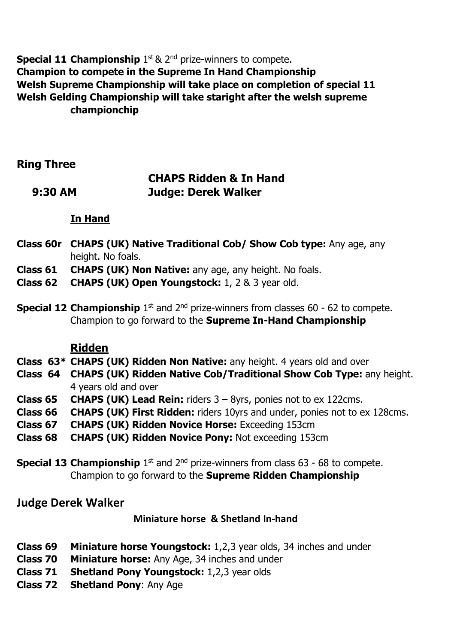**Special 11 Championship** 1<sup>st</sup> & 2<sup>nd</sup> prize-winners to compete. **Champion to compete in the Supreme In Hand Championship Welsh Supreme Championship will take place on completion of special 11 Welsh Gelding Championship will take staright after the welsh supreme championchip** 

**Ring Three**

## **CHAPS Ridden & In Hand 9:30 AM Judge: Derek Walker**

#### **In Hand**

- **Class 60r CHAPS (UK) Native Traditional Cob/ Show Cob type:** Any age, any height. No foals.
- **Class 61 CHAPS (UK) Non Native:** any age, any height. No foals.
- **Class 62 CHAPS (UK) Open Youngstock:** 1, 2 & 3 year old.
- **Special 12 Championship** 1<sup>st</sup> and 2<sup>nd</sup> prize-winners from classes 60 62 to compete. Champion to go forward to the **Supreme In-Hand Championship**

#### **Ridden**

- **Class 63\* CHAPS (UK) Ridden Non Native:** any height. 4 years old and over
- **Class 64 CHAPS (UK) Ridden Native Cob/Traditional Show Cob Type:** any height. 4 years old and over
- **Class 65 CHAPS (UK) Lead Rein:** riders 3 8yrs, ponies not to ex 122cms.
- **Class 66 CHAPS (UK) First Ridden:** riders 10yrs and under, ponies not to ex 128cms.
- **Class 67 CHAPS (UK) Ridden Novice Horse:** Exceeding 153cm
- **Class 68 CHAPS (UK) Ridden Novice Pony:** Not exceeding 153cm
- **Special 13 Championship** 1<sup>st</sup> and 2<sup>nd</sup> prize-winners from class 63 68 to compete. Champion to go forward to the **Supreme Ridden Championship**

## **Judge Derek Walker**

#### **Miniature horse & Shetland In-hand**

- **Class 69 Miniature horse Youngstock:** 1,2,3 year olds, 34 inches and under
- **Class 70 Miniature horse:** Any Age, 34 inches and under
- **Class 71 Shetland Pony Youngstock:** 1,2,3 year olds
- **Class 72 Shetland Pony**: Any Age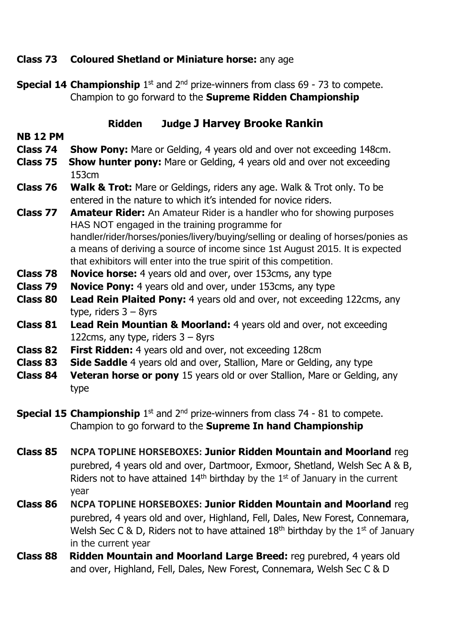#### **Class 73 Coloured Shetland or Miniature horse:** any age

**Special 14 Championship** 1<sup>st</sup> and 2<sup>nd</sup> prize-winners from class 69 - 73 to compete. Champion to go forward to the **Supreme Ridden Championship**

#### **Ridden Judge J Harvey Brooke Rankin**

#### **NB 12 PM**

- **Class 74 Show Pony:** Mare or Gelding, 4 years old and over not exceeding 148cm.
- **Class 75 Show hunter pony:** Mare or Gelding, 4 years old and over not exceeding 153cm
- **Class 76 Walk & Trot:** Mare or Geldings, riders any age. Walk & Trot only. To be entered in the nature to which it's intended for novice riders.
- **Class 77 Amateur Rider:** An Amateur Rider is a handler who for showing purposes HAS NOT engaged in the training programme for handler/rider/horses/ponies/livery/buying/selling or dealing of horses/ponies as a means of deriving a source of income since 1st August 2015. It is expected that exhibitors will enter into the true spirit of this competition.
- **Class 78 Novice horse:** 4 years old and over, over 153cms, any type
- **Class 79 Novice Pony:** 4 years old and over, under 153cms, any type
- **Class 80 Lead Rein Plaited Pony:** 4 years old and over, not exceeding 122cms, any type, riders 3 – 8yrs
- **Class 81 Lead Rein Mountian & Moorland:** 4 years old and over, not exceeding 122cms, any type, riders  $3 - 8y$ rs
- **Class 82 First Ridden:** 4 years old and over, not exceeding 128cm
- **Class 83 Side Saddle** 4 years old and over, Stallion, Mare or Gelding, any type
- **Class 84 Veteran horse or pony** 15 years old or over Stallion, Mare or Gelding, any type
- **Special 15 Championship** 1<sup>st</sup> and 2<sup>nd</sup> prize-winners from class 74 81 to compete. Champion to go forward to the **Supreme In hand Championship**
- **Class 85 NCPA TOPLINE HORSEBOXES: Junior Ridden Mountain and Moorland** reg purebred, 4 years old and over, Dartmoor, Exmoor, Shetland, Welsh Sec A & B, Riders not to have attained  $14<sup>th</sup>$  birthday by the  $1<sup>st</sup>$  of January in the current year
- **Class 86 NCPA TOPLINE HORSEBOXES: Junior Ridden Mountain and Moorland** reg purebred, 4 years old and over, Highland, Fell, Dales, New Forest, Connemara, Welsh Sec C & D, Riders not to have attained  $18<sup>th</sup>$  birthday by the  $1<sup>st</sup>$  of January in the current year
- **Class 88 Ridden Mountain and Moorland Large Breed:** reg purebred, 4 years old and over, Highland, Fell, Dales, New Forest, Connemara, Welsh Sec C & D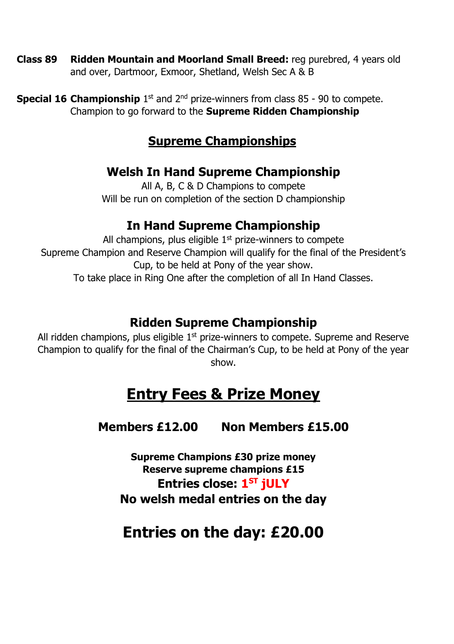- **Class 89 Ridden Mountain and Moorland Small Breed:** reg purebred, 4 years old and over, Dartmoor, Exmoor, Shetland, Welsh Sec A & B
- **Special 16 Championship** 1<sup>st</sup> and 2<sup>nd</sup> prize-winners from class 85 90 to compete. Champion to go forward to the **Supreme Ridden Championship**

# **Supreme Championships**

# **Welsh In Hand Supreme Championship**

All A, B, C & D Champions to compete Will be run on completion of the section D championship

# **In Hand Supreme Championship**

All champions, plus eligible  $1<sup>st</sup>$  prize-winners to compete Supreme Champion and Reserve Champion will qualify for the final of the President's Cup, to be held at Pony of the year show. To take place in Ring One after the completion of all In Hand Classes.

# **Ridden Supreme Championship**

All ridden champions, plus eligible  $1<sup>st</sup>$  prize-winners to compete. Supreme and Reserve Champion to qualify for the final of the Chairman's Cup, to be held at Pony of the year show.

# **Entry Fees & Prize Money**

# **Members £12.00 Non Members £15.00**

**Supreme Champions £30 prize money Reserve supreme champions £15 Entries close: 1 ST jULY No welsh medal entries on the day** 

# **Entries on the day: £20.00**